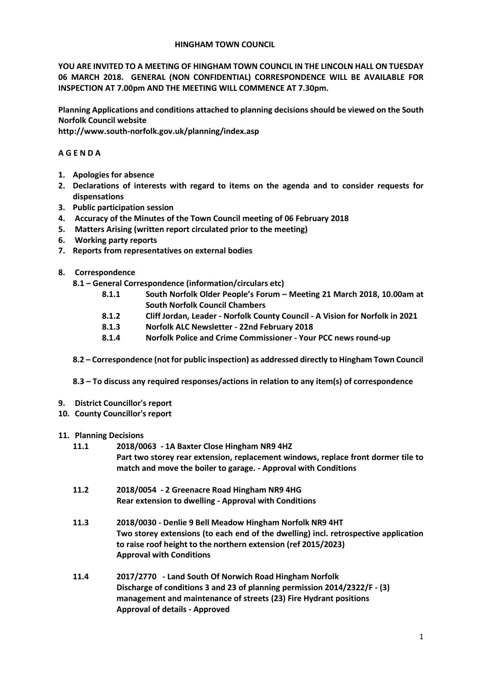#### **HINGHAM TOWN COUNCIL**

**YOU ARE INVITED TO A MEETING OF HINGHAM TOWN COUNCIL IN THE LINCOLN HALL ON TUESDAY 06 MARCH 2018. GENERAL (NON CONFIDENTIAL) CORRESPONDENCE WILL BE AVAILABLE FOR INSPECTION AT 7.00pm AND THE MEETING WILL COMMENCE AT 7.30pm.** 

**Planning Applications and conditions attached to planning decisions should be viewed on the South Norfolk Council website** 

**http://www.south-norfolk.gov.uk/planning/index.asp**

# **A G E N D A**

- **1. Apologies for absence**
- **2. Declarations of interests with regard to items on the agenda and to consider requests for dispensations**
- **3. Public participation session**
- **4. Accuracy of the Minutes of the Town Council meeting of 06 February 2018**
- **5. Matters Arising (written report circulated prior to the meeting)**
- **6. Working party reports**
- **7. Reports from representatives on external bodies**
- **8. Correspondence** 
	- **8.1 – General Correspondence (information/circulars etc)**
		- **8.1.1 South Norfolk Older People's Forum – Meeting 21 March 2018, 10.00am at South Norfolk Council Chambers**
		- **8.1.2 Cliff Jordan, Leader - Norfolk County Council - A Vision for Norfolk in 2021**
		- **8.1.3 Norfolk ALC Newsletter - 22nd February 2018**
		- **8.1.4 Norfolk Police and Crime Commissioner - Your PCC news round-up**
	- **8.2 – Correspondence (not for public inspection) as addressed directly to Hingham Town Council**
	- **8.3 – To discuss any required responses/actions in relation to any item(s) of correspondence**
- **9. District Councillor's report**
- **10. County Councillor's report**
- **11. Planning Decisions**
	- **11.1 2018/0063 - 1A Baxter Close Hingham NR9 4HZ Part two storey rear extension, replacement windows, replace front dormer tile to match and move the boiler to garage. - Approval with Conditions**
	- **11.2 2018/0054 - 2 Greenacre Road Hingham NR9 4HG Rear extension to dwelling - Approval with Conditions**
	- **11.3 2018/0030 - Denlie 9 Bell Meadow Hingham Norfolk NR9 4HT Two storey extensions (to each end of the dwelling) incl. retrospective application to raise roof height to the northern extension (ref 2015/2023) Approval with Conditions**
	- **11.4 2017/2770 - Land South Of Norwich Road Hingham Norfolk Discharge of conditions 3 and 23 of planning permission 2014/2322/F - (3) management and maintenance of streets (23) Fire Hydrant positions Approval of details - Approved**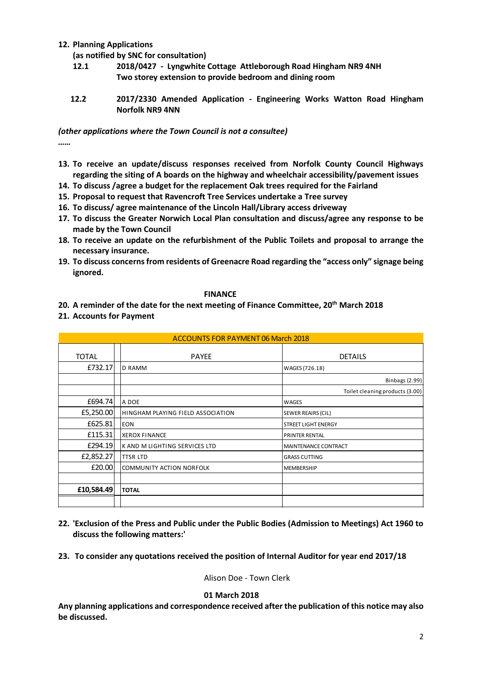# **12. Planning Applications**

**(as notified by SNC for consultation)**

- **12.1 2018/0427 - Lyngwhite Cottage Attleborough Road Hingham NR9 4NH Two storey extension to provide bedroom and dining room**
- **12.2 2017/2330 Amended Application - Engineering Works Watton Road Hingham Norfolk NR9 4NN**

*(other applications where the Town Council is not a consultee) ……*

- **13. To receive an update/discuss responses received from Norfolk County Council Highways regarding the siting of A boards on the highway and wheelchair accessibility/pavement issues**
- **14. To discuss /agree a budget for the replacement Oak trees required for the Fairland**
- **15. Proposal to request that Ravencroft Tree Services undertake a Tree survey**
- **16. To discuss/ agree maintenance of the Lincoln Hall/Library access driveway**
- **17. To discuss the Greater Norwich Local Plan consultation and discuss/agree any response to be made by the Town Council**
- **18. To receive an update on the refurbishment of the Public Toilets and proposal to arrange the necessary insurance.**
- **19. To discuss concerns from residents of Greenacre Road regarding the "access only" signage being ignored.**

**FINANCE**

**20. A reminder of the date for the next meeting of Finance Committee, 20th March 2018**

### **21. Accounts for Payment**

| <b>ACCOUNTS FOR PAYMENT 06 March 2018</b> |                                   |                                 |
|-------------------------------------------|-----------------------------------|---------------------------------|
| <b>TOTAL</b>                              | <b>PAYEE</b>                      | <b>DETAILS</b>                  |
| £732.17                                   | <b>D RAMM</b>                     | WAGES (726.18)                  |
|                                           |                                   | <b>Binbags (2.99)</b>           |
|                                           |                                   | Toilet cleaning products (3.00) |
| £694.74                                   | A DOE                             | WAGES                           |
| £5,250.00                                 | HINGHAM PLAYING FIELD ASSOCIATION | <b>SEWER REAIRS (CIL)</b>       |
| £625.81                                   | <b>EON</b>                        | STREET LIGHT ENERGY             |
| £115.31                                   | <b>XEROX FINANCE</b>              | <b>PRINTER RENTAL</b>           |
| £294.19                                   | K AND M LIGHTING SERVICES LTD     | MAINTENANCE CONTRACT            |
| £2,852.27                                 | <b>TTSR LTD</b>                   | <b>GRASS CUTTING</b>            |
| £20.00                                    | COMMUNITY ACTION NORFOLK          | <b>MEMBERSHIP</b>               |
|                                           |                                   |                                 |
| £10,584.49                                | <b>TOTAL</b>                      |                                 |
|                                           |                                   |                                 |

- **22. 'Exclusion of the Press and Public under the Public Bodies (Admission to Meetings) Act 1960 to discuss the following matters:'**
- **23. To consider any quotations received the position of Internal Auditor for year end 2017/18**

Alison Doe - Town Clerk

#### **01 March 2018**

**Any planning applications and correspondence received after the publication of this notice may also be discussed.**